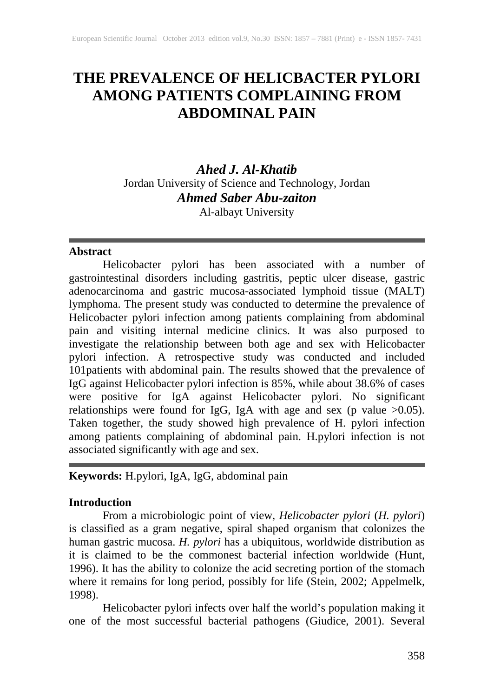# **THE PREVALENCE OF HELICBACTER PYLORI AMONG PATIENTS COMPLAINING FROM ABDOMINAL PAIN**

*Ahed J. Al-Khatib* Jordan University of Science and Technology, Jordan *Ahmed Saber Abu-zaiton* Al-albayt University

Abstract<br>
Helicobacter pylori has been associated with a number of Helicobacter pylori has been associated with a number of gastrointestinal disorders including gastritis, peptic ulcer disease, gastric adenocarcinoma and gastric mucosa-associated lymphoid tissue (MALT) lymphoma. The present study was conducted to determine the prevalence of Helicobacter pylori infection among patients complaining from abdominal pain and visiting internal medicine clinics. It was also purposed to investigate the relationship between both age and sex with Helicobacter pylori infection. A retrospective study was conducted and included 101patients with abdominal pain. The results showed that the prevalence of IgG against Helicobacter pylori infection is 85%, while about 38.6% of cases were positive for IgA against Helicobacter pylori. No significant relationships were found for IgG, IgA with age and sex (p value  $>0.05$ ). Taken together, the study showed high prevalence of H. pylori infection among patients complaining of abdominal pain. H.pylori infection is not associated significantly with age and sex.

# **Keywords:** H.pylori, IgA, IgG, abdominal pain

# **Introduction**

From a microbiologic point of view, *Helicobacter pylori* (*H. pylori*) is classified as a gram negative, spiral shaped organism that colonizes the human gastric mucosa. *H. pylori* has a ubiquitous, worldwide distribution as it is claimed to be the commonest bacterial infection worldwide (Hunt, 1996). It has the ability to colonize the acid secreting portion of the stomach where it remains for long period, possibly for life (Stein, 2002; Appelmelk, 1998).

Helicobacter pylori infects over half the world's population making it one of the most successful bacterial pathogens (Giudice, 2001). Several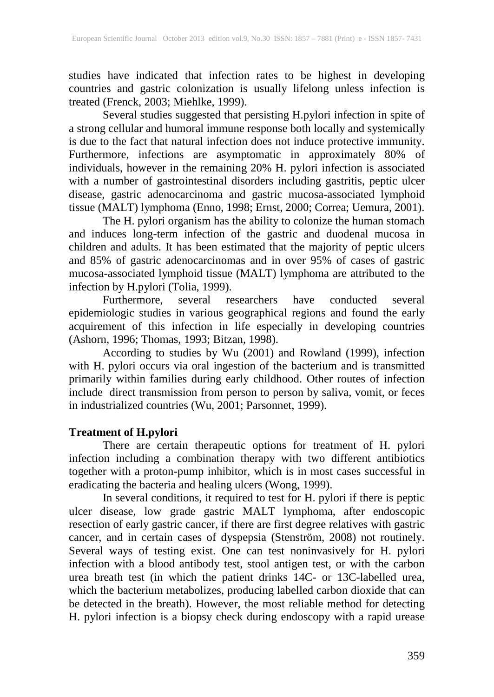studies have indicated that infection rates to be highest in developing countries and gastric colonization is usually lifelong unless infection is treated (Frenck, 2003; Miehlke, 1999).

Several studies suggested that persisting H.pylori infection in spite of a strong cellular and humoral immune response both locally and systemically is due to the fact that natural infection does not induce protective immunity. Furthermore, infections are asymptomatic in approximately 80% of individuals, however in the remaining 20% H. pylori infection is associated with a number of gastrointestinal disorders including gastritis, peptic ulcer disease, gastric adenocarcinoma and gastric mucosa-associated lymphoid tissue (MALT) lymphoma (Enno, 1998; Ernst, 2000; Correa; Uemura, 2001).

The H. pylori organism has the ability to colonize the human stomach and induces long-term infection of the gastric and duodenal mucosa in children and adults. It has been estimated that the majority of peptic ulcers and 85% of gastric adenocarcinomas and in over 95% of cases of gastric mucosa-associated lymphoid tissue (MALT) lymphoma are attributed to the infection by H.pylori (Tolia, 1999).<br>Furthermore several researchers

Furthermore, several researchers have conducted several epidemiologic studies in various geographical regions and found the early acquirement of this infection in life especially in developing countries (Ashorn, 1996; Thomas, 1993; Bitzan, 1998).

According to studies by Wu (2001) and Rowland (1999), infection with H. pylori occurs via oral ingestion of the bacterium and is transmitted primarily within families during early childhood. Other routes of infection include direct transmission from person to person by saliva, vomit, or feces in industrialized countries (Wu, 2001; Parsonnet, 1999).

# **Treatment of H.pylori**

There are certain therapeutic options for treatment of H. pylori infection including a combination therapy with two different antibiotics together with a proton-pump inhibitor, which is in most cases successful in eradicating the bacteria and healing ulcers (Wong, 1999).

In several conditions, it required to test for H. pylori if there is peptic ulcer disease, low grade gastric MALT lymphoma, after endoscopic resection of early gastric cancer, if there are first degree relatives with gastric cancer, and in certain cases of dyspepsia (Stenström, 2008) not routinely. Several ways of testing exist. One can test noninvasively for H. pylori infection with a blood antibody test, stool antigen test, or with the carbon urea breath test (in which the patient drinks 14C- or 13C-labelled urea, which the bacterium metabolizes, producing labelled carbon dioxide that can be detected in the breath). However, the most reliable method for detecting H. pylori infection is a biopsy check during endoscopy with a rapid urease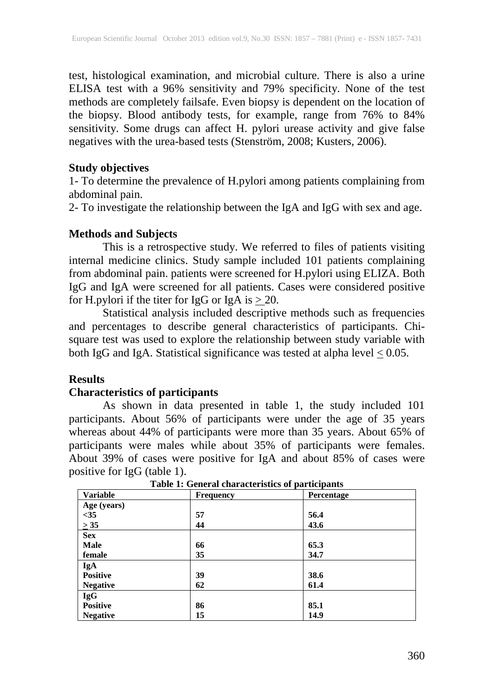test, histological examination, and microbial culture. There is also a urine ELISA test with a 96% sensitivity and 79% specificity. None of the test methods are completely failsafe. Even biopsy is dependent on the location of the biopsy. Blood antibody tests, for example, range from 76% to 84% sensitivity. Some drugs can affect H. pylori urease activity and give false negatives with the urea-based tests (Stenström, 2008; Kusters, 2006).

### **Study objectives**

1- To determine the prevalence of H.pylori among patients complaining from abdominal pain.

2- To investigate the relationship between the IgA and IgG with sex and age.

#### **Methods and Subjects**

This is a retrospective study. We referred to files of patients visiting internal medicine clinics. Study sample included 101 patients complaining from abdominal pain. patients were screened for H.pylori using ELIZA. Both IgG and IgA were screened for all patients. Cases were considered positive for H.pylori if the titer for IgG or IgA is  $\geq$ 20.

Statistical analysis included descriptive methods such as frequencies and percentages to describe general characteristics of participants. Chisquare test was used to explore the relationship between study variable with both IgG and IgA. Statistical significance was tested at alpha level  $\leq 0.05$ .

### **Results**

### **Characteristics of participants**

As shown in data presented in table 1, the study included 101 participants. About 56% of participants were under the age of 35 years whereas about 44% of participants were more than 35 years. About 65% of participants were males while about 35% of participants were females. About 39% of cases were positive for IgA and about 85% of cases were positive for IgG (table 1).

| <b>Variable</b> | <b>Frequency</b> | Percentage |  |
|-----------------|------------------|------------|--|
| Age (years)     |                  |            |  |
| $<$ 35          | 57               | 56.4       |  |
| $\geq 35$       | 44               | 43.6       |  |
| <b>Sex</b>      |                  |            |  |
| Male            | 66               | 65.3       |  |
| female          | 35               | 34.7       |  |
| <b>IgA</b>      |                  |            |  |
| <b>Positive</b> | 39               | 38.6       |  |
| <b>Negative</b> | 62               | 61.4       |  |
| <b>IgG</b>      |                  |            |  |
| <b>Positive</b> | 86               | 85.1       |  |
| <b>Negative</b> | 15               | 14.9       |  |

**Table 1: General characteristics of participants**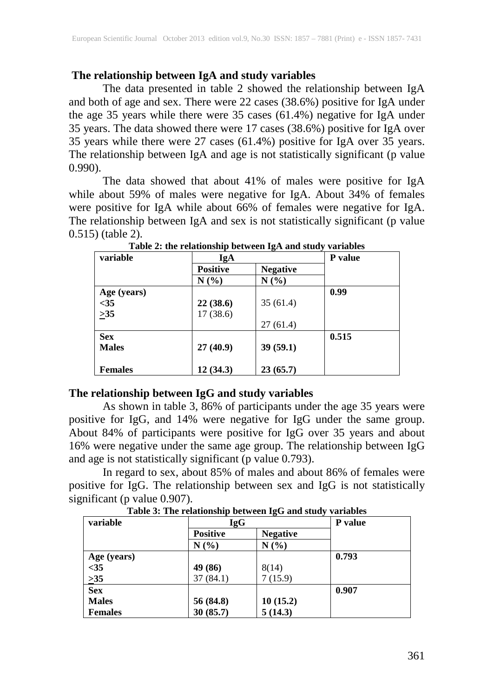# **The relationship between IgA and study variables**

The data presented in table 2 showed the relationship between IgA and both of age and sex. There were 22 cases (38.6%) positive for IgA under the age 35 years while there were 35 cases (61.4%) negative for IgA under 35 years. The data showed there were 17 cases (38.6%) positive for IgA over 35 years while there were 27 cases (61.4%) positive for IgA over 35 years. The relationship between IgA and age is not statistically significant (p value 0.990).

The data showed that about 41% of males were positive for IgA while about 59% of males were negative for IgA. About 34% of females were positive for IgA while about 66% of females were negative for IgA. The relationship between IgA and sex is not statistically significant (p value 0.515) (table 2).

| variable       | IgA             |                 | <b>P</b> value |
|----------------|-----------------|-----------------|----------------|
|                | <b>Positive</b> | <b>Negative</b> |                |
|                | N(%)            | N(%)            |                |
| Age (years)    |                 |                 | 0.99           |
| $<$ 35         | 22(38.6)        | 35(61.4)        |                |
| $\geq 35$      | 17(38.6)        |                 |                |
|                |                 | 27(61.4)        |                |
| <b>Sex</b>     |                 |                 | 0.515          |
| <b>Males</b>   | 27(40.9)        | 39(59.1)        |                |
|                |                 |                 |                |
| <b>Females</b> | 12(34.3)        | 23(65.7)        |                |

**Table 2: the relationship between IgA and study variables**

# **The relationship between IgG and study variables**

As shown in table 3, 86% of participants under the age 35 years were positive for IgG, and 14% were negative for IgG under the same group. About 84% of participants were positive for IgG over 35 years and about 16% were negative under the same age group. The relationship between IgG and age is not statistically significant (p value 0.793).

In regard to sex, about 85% of males and about 86% of females were positive for IgG. The relationship between sex and IgG is not statistically significant (p value 0.907).

| variable       | <b>IgG</b>      |                 | P value |
|----------------|-----------------|-----------------|---------|
|                | <b>Positive</b> | <b>Negative</b> |         |
|                | N(%)            | N(%)            |         |
| Age (years)    |                 |                 | 0.793   |
| $<$ 35         | 49 (86)         | 8(14)           |         |
| $\geq 35$      | 37(84.1)        | 7(15.9)         |         |
| <b>Sex</b>     |                 |                 | 0.907   |
| <b>Males</b>   | 56 (84.8)       | 10(15.2)        |         |
| <b>Females</b> | 30(85.7)        | 5(14.3)         |         |

**Table 3: The relationship between IgG and study variables**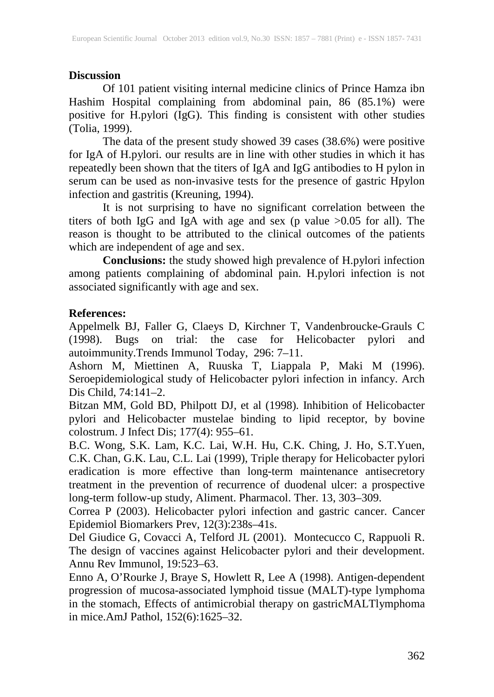# **Discussion**

Of 101 patient visiting internal medicine clinics of Prince Hamza ibn Hashim Hospital complaining from abdominal pain, 86 (85.1%) were positive for H.pylori (IgG). This finding is consistent with other studies (Tolia, 1999).

The data of the present study showed 39 cases (38.6%) were positive for IgA of H.pylori. our results are in line with other studies in which it has repeatedly been shown that the titers of IgA and IgG antibodies to H pylon in serum can be used as non-invasive tests for the presence of gastric Hpylon infection and gastritis (Kreuning, 1994).

It is not surprising to have no significant correlation between the titers of both IgG and IgA with age and sex (p value >0.05 for all). The reason is thought to be attributed to the clinical outcomes of the patients which are independent of age and sex.

**Conclusions:** the study showed high prevalence of H.pylori infection among patients complaining of abdominal pain. H.pylori infection is not associated significantly with age and sex.

# **References:**

Appelmelk BJ, Faller G, Claeys D, Kirchner T, Vandenbroucke-Grauls C (1998). Bugs on trial: the case for Helicobacter pylori and (1998). Bugs on trial: the case for Helicobacter pylori and autoimmunity.Trends Immunol Today, 296: 7–11.

Ashorn M, Miettinen A, Ruuska T, Liappala P, Maki M (1996). Seroepidemiological study of Helicobacter pylori infection in infancy. Arch Dis Child, 74:141–2.

Bitzan MM, Gold BD, Philpott DJ, et al (1998). Inhibition of Helicobacter pylori and Helicobacter mustelae binding to lipid receptor, by bovine colostrum. J Infect Dis; 177(4): 955–61.

B.C. Wong, S.K. Lam, K.C. Lai, W.H. Hu, C.K. Ching, J. Ho, S.T.Yuen, C.K. Chan, G.K. Lau, C.L. Lai (1999), Triple therapy for Helicobacter pylori eradication is more effective than long-term maintenance antisecretory treatment in the prevention of recurrence of duodenal ulcer: a prospective long-term follow-up study, Aliment. Pharmacol. Ther. 13, 303–309.

Correa P (2003). Helicobacter pylori infection and gastric cancer. Cancer Epidemiol Biomarkers Prev, 12(3):238s–41s.

Del Giudice G, Covacci A, Telford JL (2001). Montecucco C, Rappuoli R. The design of vaccines against Helicobacter pylori and their development. Annu Rev Immunol, 19:523–63.

Enno A, O'Rourke J, Braye S, Howlett R, Lee A (1998). Antigen-dependent progression of mucosa-associated lymphoid tissue (MALT)-type lymphoma in the stomach, Effects of antimicrobial therapy on gastricMALTlymphoma in mice.AmJ Pathol, 152(6):1625–32.